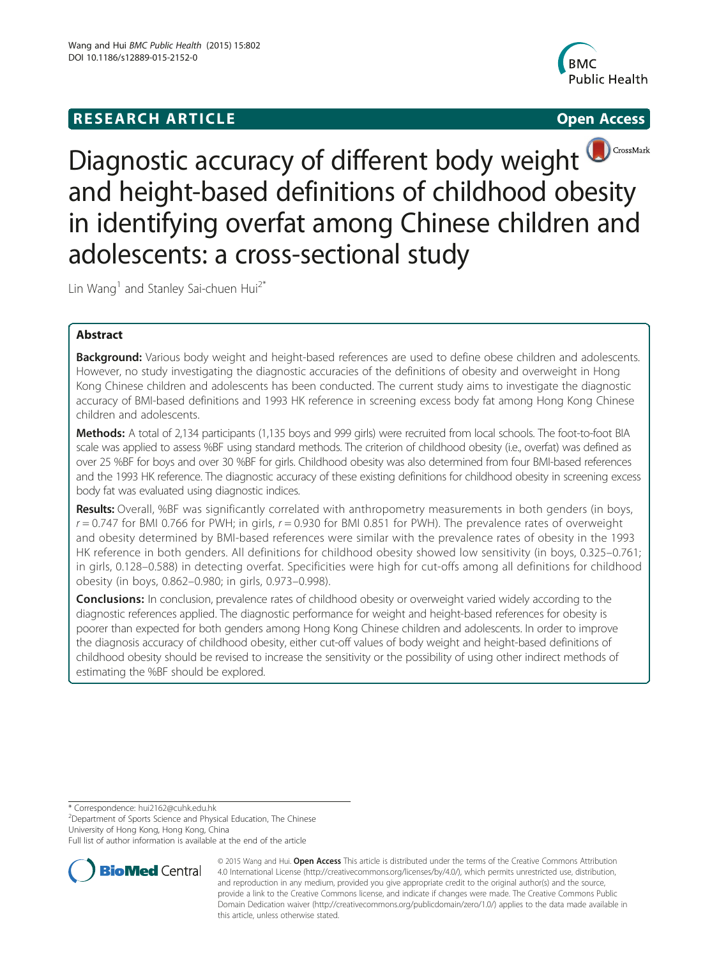# **RESEARCH ARTICLE Example 2008 CONSIDERING CONSIDERING CONSIDERING CONSIDERING CONSIDERING CONSIDERING CONSIDERING CONSIDERING CONSIDERING CONSIDERING CONSIDERING CONSIDERING CONSIDERING CONSIDERING CONSIDERING CONSIDE**



CrossMark Diagnostic accuracy of different body weight and height-based definitions of childhood obesity in identifying overfat among Chinese children and adolescents: a cross-sectional study

Lin Wang<sup>1</sup> and Stanley Sai-chuen Hui<sup>2\*</sup>

# Abstract

**Background:** Various body weight and height-based references are used to define obese children and adolescents. However, no study investigating the diagnostic accuracies of the definitions of obesity and overweight in Hong Kong Chinese children and adolescents has been conducted. The current study aims to investigate the diagnostic accuracy of BMI-based definitions and 1993 HK reference in screening excess body fat among Hong Kong Chinese children and adolescents.

Methods: A total of 2,134 participants (1,135 boys and 999 girls) were recruited from local schools. The foot-to-foot BIA scale was applied to assess %BF using standard methods. The criterion of childhood obesity (i.e., overfat) was defined as over 25 %BF for boys and over 30 %BF for girls. Childhood obesity was also determined from four BMI-based references and the 1993 HK reference. The diagnostic accuracy of these existing definitions for childhood obesity in screening excess body fat was evaluated using diagnostic indices.

Results: Overall, %BF was significantly correlated with anthropometry measurements in both genders (in boys,  $r = 0.747$  for BMI 0.766 for PWH; in girls,  $r = 0.930$  for BMI 0.851 for PWH). The prevalence rates of overweight and obesity determined by BMI-based references were similar with the prevalence rates of obesity in the 1993 HK reference in both genders. All definitions for childhood obesity showed low sensitivity (in boys, 0.325–0.761; in girls, 0.128–0.588) in detecting overfat. Specificities were high for cut-offs among all definitions for childhood obesity (in boys, 0.862–0.980; in girls, 0.973–0.998).

**Conclusions:** In conclusion, prevalence rates of childhood obesity or overweight varied widely according to the diagnostic references applied. The diagnostic performance for weight and height-based references for obesity is poorer than expected for both genders among Hong Kong Chinese children and adolescents. In order to improve the diagnosis accuracy of childhood obesity, either cut-off values of body weight and height-based definitions of childhood obesity should be revised to increase the sensitivity or the possibility of using other indirect methods of estimating the %BF should be explored.

\* Correspondence: [hui2162@cuhk.edu.hk](mailto:hui2162@cuhk.edu.hk) <sup>2</sup>

<sup>2</sup>Department of Sports Science and Physical Education, The Chinese University of Hong Kong, Hong Kong, China

Full list of author information is available at the end of the article



© 2015 Wang and Hui. Open Access This article is distributed under the terms of the Creative Commons Attribution 4.0 International License [\(http://creativecommons.org/licenses/by/4.0/\)](http://creativecommons.org/licenses/by/4.0/), which permits unrestricted use, distribution, and reproduction in any medium, provided you give appropriate credit to the original author(s) and the source, provide a link to the Creative Commons license, and indicate if changes were made. The Creative Commons Public Domain Dedication waiver ([http://creativecommons.org/publicdomain/zero/1.0/\)](http://creativecommons.org/publicdomain/zero/1.0/) applies to the data made available in this article, unless otherwise stated.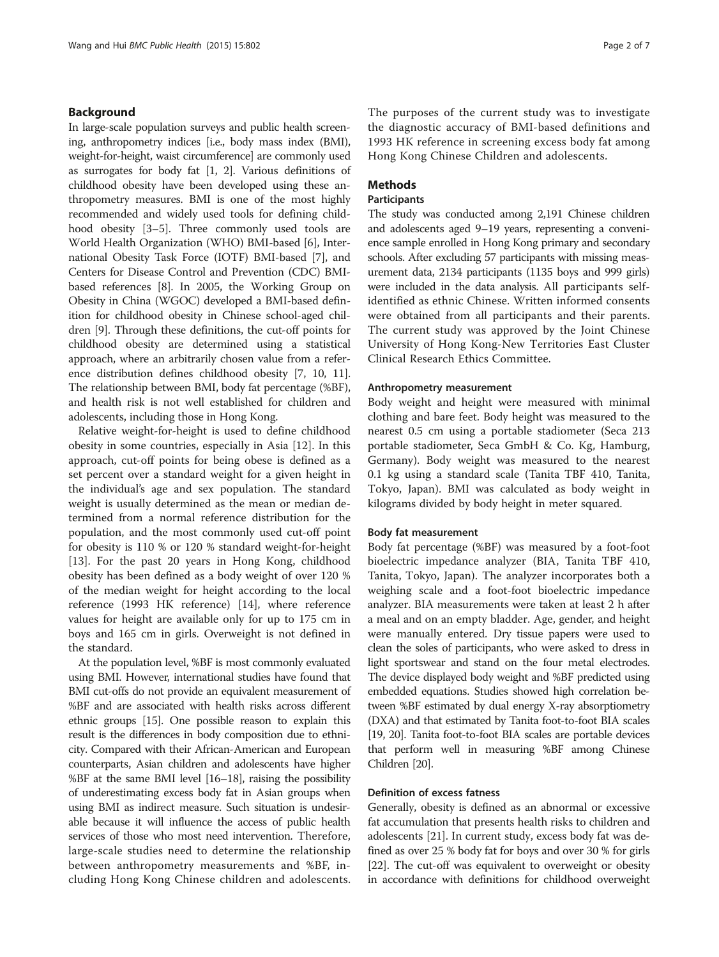# Background

In large-scale population surveys and public health screening, anthropometry indices [i.e., body mass index (BMI), weight-for-height, waist circumference] are commonly used as surrogates for body fat [\[1](#page-6-0), [2\]](#page-6-0). Various definitions of childhood obesity have been developed using these anthropometry measures. BMI is one of the most highly recommended and widely used tools for defining childhood obesity [\[3](#page-6-0)–[5\]](#page-6-0). Three commonly used tools are World Health Organization (WHO) BMI-based [[6\]](#page-6-0), International Obesity Task Force (IOTF) BMI-based [\[7](#page-6-0)], and Centers for Disease Control and Prevention (CDC) BMIbased references [[8](#page-6-0)]. In 2005, the Working Group on Obesity in China (WGOC) developed a BMI-based definition for childhood obesity in Chinese school-aged children [\[9](#page-6-0)]. Through these definitions, the cut-off points for childhood obesity are determined using a statistical approach, where an arbitrarily chosen value from a reference distribution defines childhood obesity [[7](#page-6-0), [10](#page-6-0), [11](#page-6-0)]. The relationship between BMI, body fat percentage (%BF), and health risk is not well established for children and adolescents, including those in Hong Kong.

Relative weight-for-height is used to define childhood obesity in some countries, especially in Asia [\[12](#page-6-0)]. In this approach, cut-off points for being obese is defined as a set percent over a standard weight for a given height in the individual's age and sex population. The standard weight is usually determined as the mean or median determined from a normal reference distribution for the population, and the most commonly used cut-off point for obesity is 110 % or 120 % standard weight-for-height [[13\]](#page-6-0). For the past 20 years in Hong Kong, childhood obesity has been defined as a body weight of over 120 % of the median weight for height according to the local reference (1993 HK reference) [\[14](#page-6-0)], where reference values for height are available only for up to 175 cm in boys and 165 cm in girls. Overweight is not defined in the standard.

At the population level, %BF is most commonly evaluated using BMI. However, international studies have found that BMI cut-offs do not provide an equivalent measurement of %BF and are associated with health risks across different ethnic groups [\[15](#page-6-0)]. One possible reason to explain this result is the differences in body composition due to ethnicity. Compared with their African-American and European counterparts, Asian children and adolescents have higher %BF at the same BMI level [\[16](#page-6-0)–[18\]](#page-6-0), raising the possibility of underestimating excess body fat in Asian groups when using BMI as indirect measure. Such situation is undesirable because it will influence the access of public health services of those who most need intervention. Therefore, large-scale studies need to determine the relationship between anthropometry measurements and %BF, including Hong Kong Chinese children and adolescents. The purposes of the current study was to investigate the diagnostic accuracy of BMI-based definitions and 1993 HK reference in screening excess body fat among Hong Kong Chinese Children and adolescents.

# Methods

# **Participants**

The study was conducted among 2,191 Chinese children and adolescents aged 9–19 years, representing a convenience sample enrolled in Hong Kong primary and secondary schools. After excluding 57 participants with missing measurement data, 2134 participants (1135 boys and 999 girls) were included in the data analysis. All participants selfidentified as ethnic Chinese. Written informed consents were obtained from all participants and their parents. The current study was approved by the Joint Chinese University of Hong Kong-New Territories East Cluster Clinical Research Ethics Committee.

# Anthropometry measurement

Body weight and height were measured with minimal clothing and bare feet. Body height was measured to the nearest 0.5 cm using a portable stadiometer (Seca 213 portable stadiometer, Seca GmbH & Co. Kg, Hamburg, Germany). Body weight was measured to the nearest 0.1 kg using a standard scale (Tanita TBF 410, Tanita, Tokyo, Japan). BMI was calculated as body weight in kilograms divided by body height in meter squared.

### Body fat measurement

Body fat percentage (%BF) was measured by a foot-foot bioelectric impedance analyzer (BIA, Tanita TBF 410, Tanita, Tokyo, Japan). The analyzer incorporates both a weighing scale and a foot-foot bioelectric impedance analyzer. BIA measurements were taken at least 2 h after a meal and on an empty bladder. Age, gender, and height were manually entered. Dry tissue papers were used to clean the soles of participants, who were asked to dress in light sportswear and stand on the four metal electrodes. The device displayed body weight and %BF predicted using embedded equations. Studies showed high correlation between %BF estimated by dual energy X-ray absorptiometry (DXA) and that estimated by Tanita foot-to-foot BIA scales [[19](#page-6-0), [20\]](#page-6-0). Tanita foot-to-foot BIA scales are portable devices that perform well in measuring %BF among Chinese Children [[20](#page-6-0)].

# Definition of excess fatness

Generally, obesity is defined as an abnormal or excessive fat accumulation that presents health risks to children and adolescents [\[21](#page-6-0)]. In current study, excess body fat was defined as over 25 % body fat for boys and over 30 % for girls [[22](#page-6-0)]. The cut-off was equivalent to overweight or obesity in accordance with definitions for childhood overweight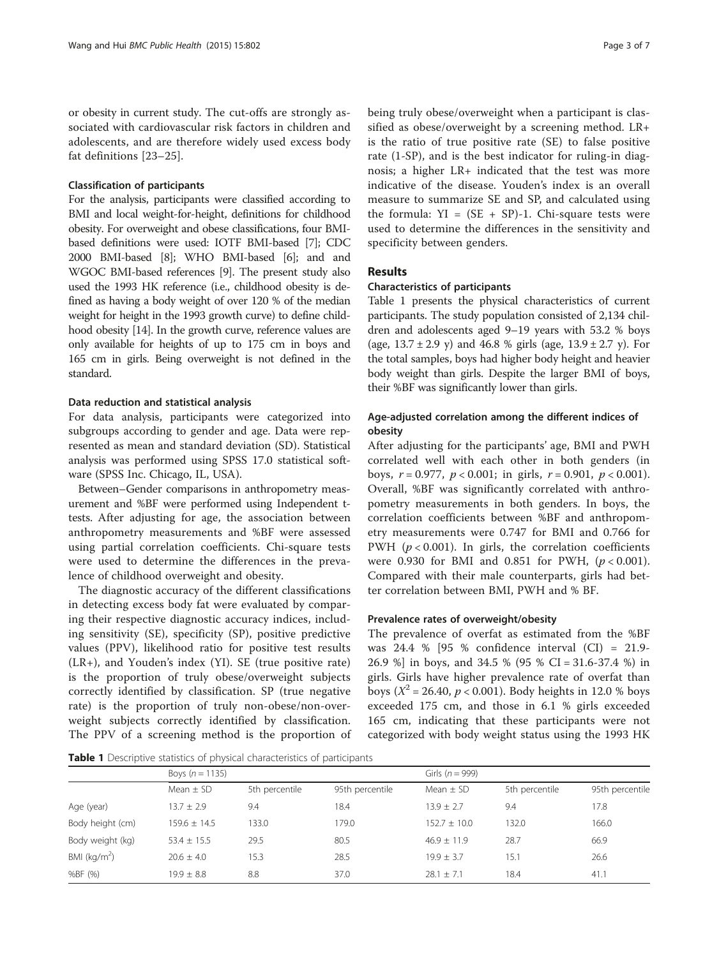or obesity in current study. The cut-offs are strongly associated with cardiovascular risk factors in children and adolescents, and are therefore widely used excess body fat definitions [[23](#page-6-0)–[25\]](#page-6-0).

## Classification of participants

For the analysis, participants were classified according to BMI and local weight-for-height, definitions for childhood obesity. For overweight and obese classifications, four BMIbased definitions were used: IOTF BMI-based [[7](#page-6-0)]; CDC 2000 BMI-based [\[8\]](#page-6-0); WHO BMI-based [[6](#page-6-0)]; and and WGOC BMI-based references [[9](#page-6-0)]. The present study also used the 1993 HK reference (i.e., childhood obesity is defined as having a body weight of over 120 % of the median weight for height in the 1993 growth curve) to define childhood obesity [[14](#page-6-0)]. In the growth curve, reference values are only available for heights of up to 175 cm in boys and 165 cm in girls. Being overweight is not defined in the standard.

# Data reduction and statistical analysis

For data analysis, participants were categorized into subgroups according to gender and age. Data were represented as mean and standard deviation (SD). Statistical analysis was performed using SPSS 17.0 statistical software (SPSS Inc. Chicago, IL, USA).

Between–Gender comparisons in anthropometry measurement and %BF were performed using Independent ttests. After adjusting for age, the association between anthropometry measurements and %BF were assessed using partial correlation coefficients. Chi-square tests were used to determine the differences in the prevalence of childhood overweight and obesity.

The diagnostic accuracy of the different classifications in detecting excess body fat were evaluated by comparing their respective diagnostic accuracy indices, including sensitivity (SE), specificity (SP), positive predictive values (PPV), likelihood ratio for positive test results (LR+), and Youden's index (YI). SE (true positive rate) is the proportion of truly obese/overweight subjects correctly identified by classification. SP (true negative rate) is the proportion of truly non-obese/non-overweight subjects correctly identified by classification. The PPV of a screening method is the proportion of being truly obese/overweight when a participant is classified as obese/overweight by a screening method. LR+ is the ratio of true positive rate (SE) to false positive rate (1-SP), and is the best indicator for ruling-in diagnosis; a higher LR+ indicated that the test was more indicative of the disease. Youden's index is an overall measure to summarize SE and SP, and calculated using the formula:  $YI = (SE + SP)-1$ . Chi-square tests were used to determine the differences in the sensitivity and specificity between genders.

# Results

# Characteristics of participants

Table 1 presents the physical characteristics of current participants. The study population consisted of 2,134 children and adolescents aged 9–19 years with 53.2 % boys (age,  $13.7 \pm 2.9$  y) and 46.8 % girls (age,  $13.9 \pm 2.7$  y). For the total samples, boys had higher body height and heavier body weight than girls. Despite the larger BMI of boys, their %BF was significantly lower than girls.

# Age-adjusted correlation among the different indices of obesity

After adjusting for the participants' age, BMI and PWH correlated well with each other in both genders (in boys,  $r = 0.977$ ,  $p < 0.001$ ; in girls,  $r = 0.901$ ,  $p < 0.001$ ). Overall, %BF was significantly correlated with anthropometry measurements in both genders. In boys, the correlation coefficients between %BF and anthropometry measurements were 0.747 for BMI and 0.766 for PWH ( $p < 0.001$ ). In girls, the correlation coefficients were 0.930 for BMI and 0.851 for PWH,  $(p < 0.001)$ . Compared with their male counterparts, girls had better correlation between BMI, PWH and % BF.

# Prevalence rates of overweight/obesity

The prevalence of overfat as estimated from the %BF was 24.4 % [95 % confidence interval (CI) = 21.9- 26.9 %] in boys, and 34.5 % (95 % CI = 31.6-37.4 %) in girls. Girls have higher prevalence rate of overfat than boys ( $X^2 = 26.40$ ,  $p < 0.001$ ). Body heights in 12.0 % boys exceeded 175 cm, and those in 6.1 % girls exceeded 165 cm, indicating that these participants were not categorized with body weight status using the 1993 HK

Table 1 Descriptive statistics of physical characteristics of participants

|                  | Boys $(n = 1135)$ |                |                 | Girls ( $n = 999$ ) |                |                 |  |  |
|------------------|-------------------|----------------|-----------------|---------------------|----------------|-----------------|--|--|
|                  | Mean $\pm$ SD     | 5th percentile | 95th percentile | Mean $\pm$ SD       | 5th percentile | 95th percentile |  |  |
| Age (year)       | $13.7 \pm 2.9$    | 9.4            | 18.4            | $13.9 + 2.7$        | 9.4            | 17.8            |  |  |
| Body height (cm) | $159.6 + 14.5$    | 133.0          | 79.0            | $152.7 + 10.0$      | 132.0          | 166.0           |  |  |
| Body weight (kg) | $53.4 \pm 15.5$   | 29.5           | 80.5            | $46.9 + 11.9$       | 28.7           | 66.9            |  |  |
| BMI ( $kg/m2$ )  | $20.6 + 4.0$      | 15.3           | 28.5            | $19.9 + 3.7$        | 15.1           | 26.6            |  |  |
| %BF (%)          | $19.9 \pm 8.8$    | 8.8            | 37.0            | $28.1 \pm 7.1$      | 18.4           | 41.1            |  |  |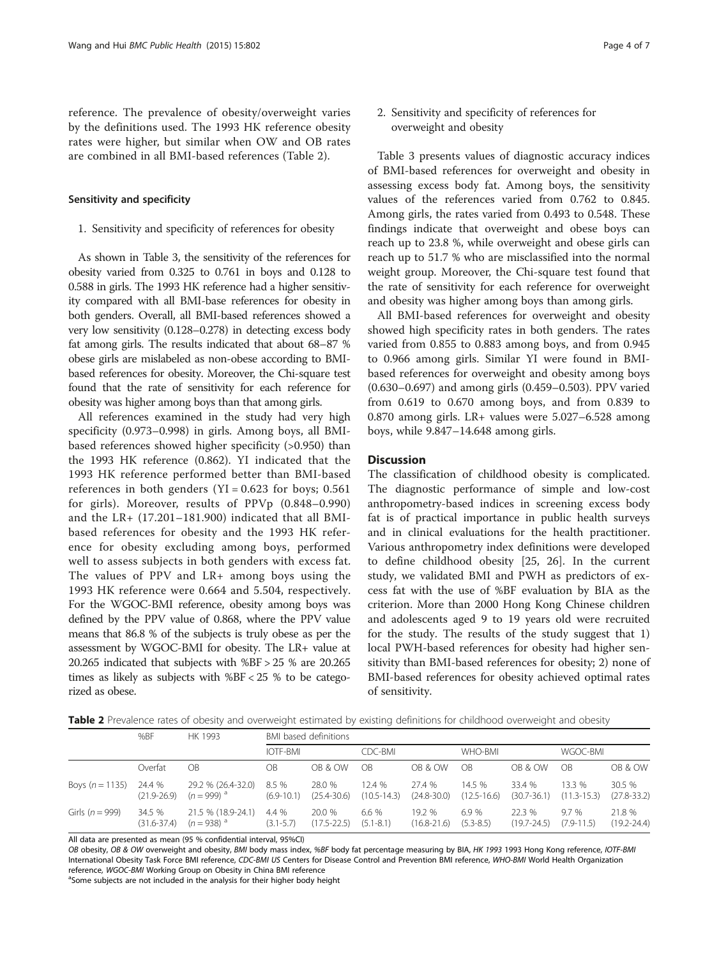<span id="page-3-0"></span>reference. The prevalence of obesity/overweight varies by the definitions used. The 1993 HK reference obesity rates were higher, but similar when OW and OB rates are combined in all BMI-based references (Table 2).

# Sensitivity and specificity

1. Sensitivity and specificity of references for obesity

As shown in Table [3](#page-4-0), the sensitivity of the references for obesity varied from 0.325 to 0.761 in boys and 0.128 to 0.588 in girls. The 1993 HK reference had a higher sensitivity compared with all BMI-base references for obesity in both genders. Overall, all BMI-based references showed a very low sensitivity (0.128–0.278) in detecting excess body fat among girls. The results indicated that about 68–87 % obese girls are mislabeled as non-obese according to BMIbased references for obesity. Moreover, the Chi-square test found that the rate of sensitivity for each reference for obesity was higher among boys than that among girls.

All references examined in the study had very high specificity (0.973–0.998) in girls. Among boys, all BMIbased references showed higher specificity (>0.950) than the 1993 HK reference (0.862). YI indicated that the 1993 HK reference performed better than BMI-based references in both genders (YI =  $0.623$  for boys;  $0.561$ for girls). Moreover, results of PPVp (0.848–0.990) and the LR+ (17.201–181.900) indicated that all BMIbased references for obesity and the 1993 HK reference for obesity excluding among boys, performed well to assess subjects in both genders with excess fat. The values of PPV and LR+ among boys using the 1993 HK reference were 0.664 and 5.504, respectively. For the WGOC-BMI reference, obesity among boys was defined by the PPV value of 0.868, where the PPV value means that 86.8 % of the subjects is truly obese as per the assessment by WGOC-BMI for obesity. The LR+ value at 20.265 indicated that subjects with %BF > 25 % are 20.265 times as likely as subjects with %BF < 25 % to be categorized as obese.

2. Sensitivity and specificity of references for overweight and obesity

Table [3](#page-4-0) presents values of diagnostic accuracy indices of BMI-based references for overweight and obesity in assessing excess body fat. Among boys, the sensitivity values of the references varied from 0.762 to 0.845. Among girls, the rates varied from 0.493 to 0.548. These findings indicate that overweight and obese boys can reach up to 23.8 %, while overweight and obese girls can reach up to 51.7 % who are misclassified into the normal weight group. Moreover, the Chi-square test found that the rate of sensitivity for each reference for overweight and obesity was higher among boys than among girls.

All BMI-based references for overweight and obesity showed high specificity rates in both genders. The rates varied from 0.855 to 0.883 among boys, and from 0.945 to 0.966 among girls. Similar YI were found in BMIbased references for overweight and obesity among boys (0.630–0.697) and among girls (0.459–0.503). PPV varied from 0.619 to 0.670 among boys, and from 0.839 to 0.870 among girls. LR+ values were 5.027–6.528 among boys, while 9.847–14.648 among girls.

# **Discussion**

The classification of childhood obesity is complicated. The diagnostic performance of simple and low-cost anthropometry-based indices in screening excess body fat is of practical importance in public health surveys and in clinical evaluations for the health practitioner. Various anthropometry index definitions were developed to define childhood obesity [\[25, 26\]](#page-6-0). In the current study, we validated BMI and PWH as predictors of excess fat with the use of %BF evaluation by BIA as the criterion. More than 2000 Hong Kong Chinese children and adolescents aged 9 to 19 years old were recruited for the study. The results of the study suggest that 1) local PWH-based references for obesity had higher sensitivity than BMI-based references for obesity; 2) none of BMI-based references for obesity achieved optimal rates of sensitivity.

Table 2 Prevalence rates of obesity and overweight estimated by existing definitions for childhood overweight and obesity

|                   | %BF                       | HK 1993                               | BMI based definitions   |                           |                           |                           |                           |                           |                           |                           |  |
|-------------------|---------------------------|---------------------------------------|-------------------------|---------------------------|---------------------------|---------------------------|---------------------------|---------------------------|---------------------------|---------------------------|--|
|                   |                           |                                       | IOTF-BMI                |                           | CDC-BMI                   |                           | WHO-BMI                   |                           | WGOC-BMI                  |                           |  |
|                   | Overfat                   | ОB                                    | OВ                      | OB & OW                   | OB                        | OB & OW                   | ОB                        | OB & OW                   | <b>OB</b>                 | OB & OW                   |  |
| Boys $(n = 1135)$ | 24.4 %<br>$(21.9 - 26.9)$ | 29.2 % (26.4-32.0)<br>$(n = 999)^{a}$ | 8.5 %<br>$(6.9 - 10.1)$ | 28.0 %<br>$(25.4 - 30.6)$ | 12.4 %<br>$(10.5 - 14.3)$ | 27.4 %<br>$(24.8 - 30.0)$ | 14.5 %<br>$(12.5 - 16.6)$ | 33.4 %<br>$(30.7 - 36.1)$ | 13.3 %<br>$(11.3 - 15.3)$ | 30.5 %<br>$(27.8 - 33.2)$ |  |
| Girls $(n = 999)$ | 34.5 %<br>$(31.6 - 37.4)$ | 21.5 % (18.9-24.1)<br>$(n = 938)^{d}$ | 4.4 %<br>$(3.1 - 5.7)$  | 20.0 %<br>$(17.5 - 22.5)$ | 6.6 %<br>$(5.1 - 8.1)$    | 19.2%<br>$(16.8 - 21.6)$  | 6.9%<br>$(5.3 - 8.5)$     | 22.3%<br>$(19.7 - 24.5)$  | 9.7%<br>$(7.9 - 11.5)$    | 21.8 %<br>$(19.2 - 24.4)$ |  |

All data are presented as mean (95 % confidential interval, 95%CI)

OB obesity, OB & OW overweight and obesity, BMI body mass index, %BF body fat percentage measuring by BIA, HK 1993 1993 Hong Kong reference, IOTF-BMI International Obesity Task Force BMI reference, CDC-BMI US Centers for Disease Control and Prevention BMI reference, WHO-BMI World Health Organization reference, WGOC-BMI Working Group on Obesity in China BMI reference

<sup>a</sup>Some subjects are not included in the analysis for their higher body height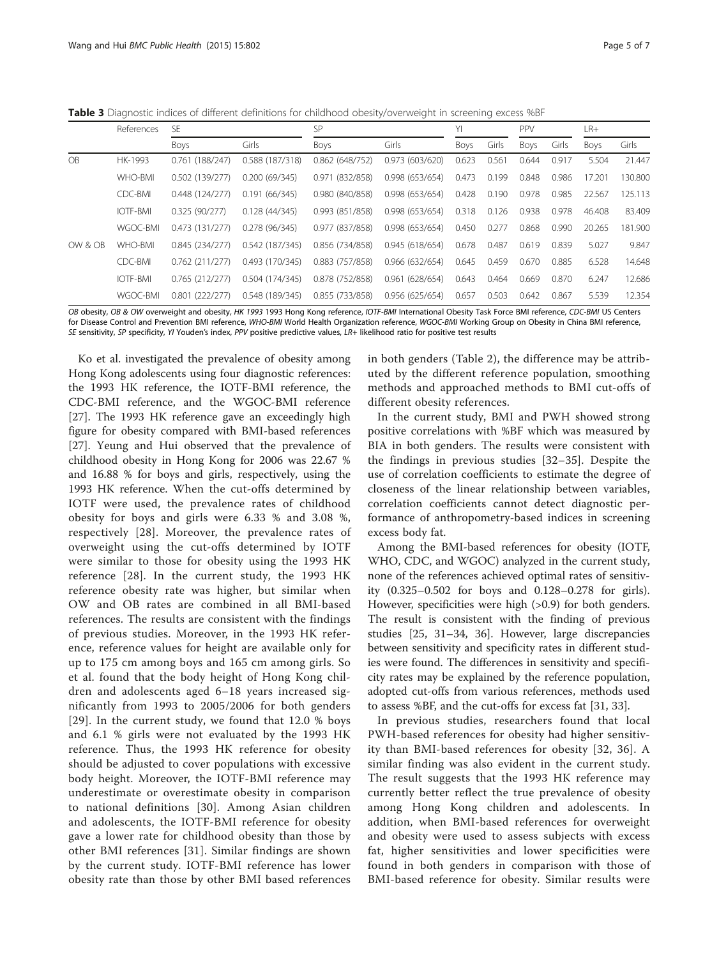<span id="page-4-0"></span>Table 3 Diagnostic indices of different definitions for childhood obesity/overweight in screening excess %BF

|           | References      | SF.            |                 | SP              |                 | YI          |       | PPV   |       | LR+    |         |
|-----------|-----------------|----------------|-----------------|-----------------|-----------------|-------------|-------|-------|-------|--------|---------|
|           |                 | Boys           | Girls           | Boys            | Girls           | <b>Boys</b> | Girls | Boys  | Girls | Boys   | Girls   |
| <b>OB</b> | HK-1993         | 0.761(188/247) | 0.588 (187/318) | 0.862(648/752)  | 0.973(603/620)  | 0.623       | 0.561 | 0.644 | 0.917 | 5.504  | 21.447  |
|           | WHO-BMI         | 0.502(139/277) | 0.200(69/345)   | 0.971 (832/858) | 0.998(653/654)  | 0.473       | 0.199 | 0.848 | 0.986 | 17.201 | 130.800 |
|           | CDC-BMI         | 0.448(124/277) | 0.191(66/345)   | 0.980 (840/858) | 0.998(653/654)  | 0.428       | 0.190 | 0.978 | 0.985 | 22.567 | 125.113 |
|           | <b>IOTF-BMI</b> | 0.325(90/277)  | 0.128(44/345)   | 0.993(851/858)  | 0.998(653/654)  | 0.318       | 0.126 | 0.938 | 0.978 | 46,408 | 83.409  |
|           | WGOC-BMI        | 0.473(131/277) | 0.278 (96/345)  | 0.977 (837/858) | 0.998(653/654)  | 0.450       | 0.277 | 0.868 | 0.990 | 20.265 | 181.900 |
| OW & OB   | <b>WHO-BMI</b>  | 0.845(234/277) | 0.542(187/345)  | 0.856 (734/858) | 0.945(618/654)  | 0.678       | 0.487 | 0.619 | 0.839 | 5.027  | 9.847   |
|           | CDC-BMI         | 0.762(211/277) | 0.493 (170/345) | 0.883(757/858)  | 0.966(632/654)  | 0.645       | 0.459 | 0.670 | 0.885 | 6.528  | 14.648  |
|           | <b>IOTF-BMI</b> | 0.765(212/277) | 0.504 (174/345) | 0.878 (752/858) | 0.961(628/654)  | 0.643       | 0.464 | 0.669 | 0.870 | 6.247  | 12.686  |
|           | <b>WGOC-BMI</b> | 0.801(222/277) | 0.548 (189/345) | 0.855 (733/858) | 0.956 (625/654) | 0.657       | 0.503 | 0.642 | 0.867 | 5.539  | 12.354  |

OB obesity, OB & OW overweight and obesity, HK 1993 1993 Hong Kong reference, IOTF-BMI International Obesity Task Force BMI reference, CDC-BMI US Centers for Disease Control and Prevention BMI reference, WHO-BMI World Health Organization reference, WGOC-BMI Working Group on Obesity in China BMI reference, SE sensitivity, SP specificity, YI Youden's index, PPV positive predictive values, LR+ likelihood ratio for positive test results

Ko et al. investigated the prevalence of obesity among Hong Kong adolescents using four diagnostic references: the 1993 HK reference, the IOTF-BMI reference, the CDC-BMI reference, and the WGOC-BMI reference [[27\]](#page-6-0). The 1993 HK reference gave an exceedingly high figure for obesity compared with BMI-based references [[27\]](#page-6-0). Yeung and Hui observed that the prevalence of childhood obesity in Hong Kong for 2006 was 22.67 % and 16.88 % for boys and girls, respectively, using the 1993 HK reference. When the cut-offs determined by IOTF were used, the prevalence rates of childhood obesity for boys and girls were 6.33 % and 3.08 %, respectively [[28\]](#page-6-0). Moreover, the prevalence rates of overweight using the cut-offs determined by IOTF were similar to those for obesity using the 1993 HK reference [\[28\]](#page-6-0). In the current study, the 1993 HK reference obesity rate was higher, but similar when OW and OB rates are combined in all BMI-based references. The results are consistent with the findings of previous studies. Moreover, in the 1993 HK reference, reference values for height are available only for up to 175 cm among boys and 165 cm among girls. So et al. found that the body height of Hong Kong children and adolescents aged 6–18 years increased significantly from 1993 to 2005/2006 for both genders [[29](#page-6-0)]. In the current study, we found that 12.0 % boys and 6.1 % girls were not evaluated by the 1993 HK reference. Thus, the 1993 HK reference for obesity should be adjusted to cover populations with excessive body height. Moreover, the IOTF-BMI reference may underestimate or overestimate obesity in comparison to national definitions [\[30\]](#page-6-0). Among Asian children and adolescents, the IOTF-BMI reference for obesity gave a lower rate for childhood obesity than those by other BMI references [[31\]](#page-6-0). Similar findings are shown by the current study. IOTF-BMI reference has lower obesity rate than those by other BMI based references in both genders (Table [2\)](#page-3-0), the difference may be attributed by the different reference population, smoothing methods and approached methods to BMI cut-offs of different obesity references.

In the current study, BMI and PWH showed strong positive correlations with %BF which was measured by BIA in both genders. The results were consistent with the findings in previous studies [\[32](#page-6-0)–[35](#page-6-0)]. Despite the use of correlation coefficients to estimate the degree of closeness of the linear relationship between variables, correlation coefficients cannot detect diagnostic performance of anthropometry-based indices in screening excess body fat.

Among the BMI-based references for obesity (IOTF, WHO, CDC, and WGOC) analyzed in the current study, none of the references achieved optimal rates of sensitivity (0.325–0.502 for boys and 0.128–0.278 for girls). However, specificities were high (>0.9) for both genders. The result is consistent with the finding of previous studies [\[25, 31](#page-6-0)–[34, 36](#page-6-0)]. However, large discrepancies between sensitivity and specificity rates in different studies were found. The differences in sensitivity and specificity rates may be explained by the reference population, adopted cut-offs from various references, methods used to assess %BF, and the cut-offs for excess fat [\[31, 33\]](#page-6-0).

In previous studies, researchers found that local PWH-based references for obesity had higher sensitivity than BMI-based references for obesity [[32, 36\]](#page-6-0). A similar finding was also evident in the current study. The result suggests that the 1993 HK reference may currently better reflect the true prevalence of obesity among Hong Kong children and adolescents. In addition, when BMI-based references for overweight and obesity were used to assess subjects with excess fat, higher sensitivities and lower specificities were found in both genders in comparison with those of BMI-based reference for obesity. Similar results were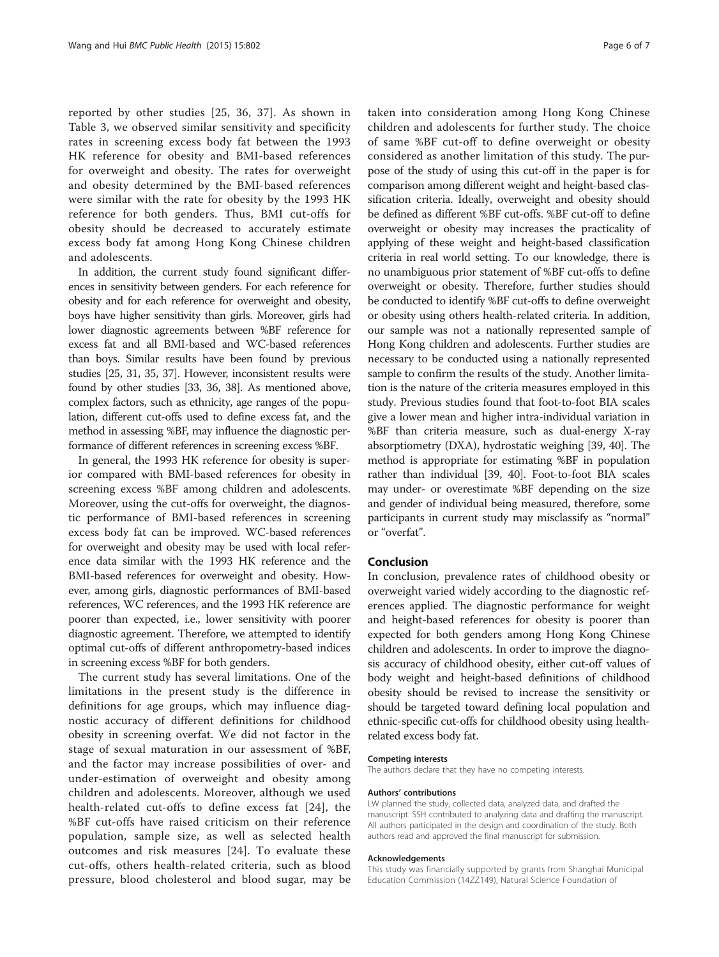reported by other studies [[25](#page-6-0), [36, 37](#page-6-0)]. As shown in Table [3](#page-4-0), we observed similar sensitivity and specificity rates in screening excess body fat between the 1993 HK reference for obesity and BMI-based references for overweight and obesity. The rates for overweight and obesity determined by the BMI-based references were similar with the rate for obesity by the 1993 HK reference for both genders. Thus, BMI cut-offs for obesity should be decreased to accurately estimate excess body fat among Hong Kong Chinese children and adolescents.

In addition, the current study found significant differences in sensitivity between genders. For each reference for obesity and for each reference for overweight and obesity, boys have higher sensitivity than girls. Moreover, girls had lower diagnostic agreements between %BF reference for excess fat and all BMI-based and WC-based references than boys. Similar results have been found by previous studies [\[25](#page-6-0), [31](#page-6-0), [35](#page-6-0), [37](#page-6-0)]. However, inconsistent results were found by other studies [[33](#page-6-0), [36, 38](#page-6-0)]. As mentioned above, complex factors, such as ethnicity, age ranges of the population, different cut-offs used to define excess fat, and the method in assessing %BF, may influence the diagnostic performance of different references in screening excess %BF.

In general, the 1993 HK reference for obesity is superior compared with BMI-based references for obesity in screening excess %BF among children and adolescents. Moreover, using the cut-offs for overweight, the diagnostic performance of BMI-based references in screening excess body fat can be improved. WC-based references for overweight and obesity may be used with local reference data similar with the 1993 HK reference and the BMI-based references for overweight and obesity. However, among girls, diagnostic performances of BMI-based references, WC references, and the 1993 HK reference are poorer than expected, i.e., lower sensitivity with poorer diagnostic agreement. Therefore, we attempted to identify optimal cut-offs of different anthropometry-based indices in screening excess %BF for both genders.

The current study has several limitations. One of the limitations in the present study is the difference in definitions for age groups, which may influence diagnostic accuracy of different definitions for childhood obesity in screening overfat. We did not factor in the stage of sexual maturation in our assessment of %BF, and the factor may increase possibilities of over- and under-estimation of overweight and obesity among children and adolescents. Moreover, although we used health-related cut-offs to define excess fat [[24](#page-6-0)], the %BF cut-offs have raised criticism on their reference population, sample size, as well as selected health outcomes and risk measures [\[24\]](#page-6-0). To evaluate these cut-offs, others health-related criteria, such as blood pressure, blood cholesterol and blood sugar, may be

taken into consideration among Hong Kong Chinese children and adolescents for further study. The choice of same %BF cut-off to define overweight or obesity considered as another limitation of this study. The purpose of the study of using this cut-off in the paper is for comparison among different weight and height-based classification criteria. Ideally, overweight and obesity should be defined as different %BF cut-offs. %BF cut-off to define overweight or obesity may increases the practicality of applying of these weight and height-based classification criteria in real world setting. To our knowledge, there is no unambiguous prior statement of %BF cut-offs to define overweight or obesity. Therefore, further studies should be conducted to identify %BF cut-offs to define overweight or obesity using others health-related criteria. In addition, our sample was not a nationally represented sample of Hong Kong children and adolescents. Further studies are necessary to be conducted using a nationally represented sample to confirm the results of the study. Another limitation is the nature of the criteria measures employed in this study. Previous studies found that foot-to-foot BIA scales give a lower mean and higher intra-individual variation in %BF than criteria measure, such as dual-energy X-ray absorptiometry (DXA), hydrostatic weighing [[39](#page-6-0), [40](#page-6-0)]. The method is appropriate for estimating %BF in population rather than individual [\[39, 40\]](#page-6-0). Foot-to-foot BIA scales may under- or overestimate %BF depending on the size and gender of individual being measured, therefore, some participants in current study may misclassify as "normal" or "overfat".

# Conclusion

In conclusion, prevalence rates of childhood obesity or overweight varied widely according to the diagnostic references applied. The diagnostic performance for weight and height-based references for obesity is poorer than expected for both genders among Hong Kong Chinese children and adolescents. In order to improve the diagnosis accuracy of childhood obesity, either cut-off values of body weight and height-based definitions of childhood obesity should be revised to increase the sensitivity or should be targeted toward defining local population and ethnic-specific cut-offs for childhood obesity using healthrelated excess body fat.

#### Competing interests

The authors declare that they have no competing interests.

### Authors' contributions

LW planned the study, collected data, analyzed data, and drafted the manuscript. SSH contributed to analyzing data and drafting the manuscript. All authors participated in the design and coordination of the study. Both authors read and approved the final manuscript for submission.

#### Acknowledgements

This study was financially supported by grants from Shanghai Municipal Education Commission (14ZZ149), Natural Science Foundation of